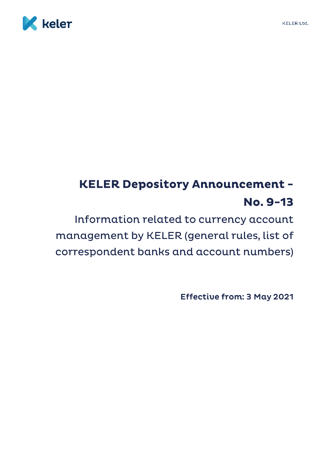

# **KELER Depository Announcement -**No. 9-13

Information related to currency account management by KELER (general rules, list of correspondent banks and account numbers)

**Effective from: 3 May 2021**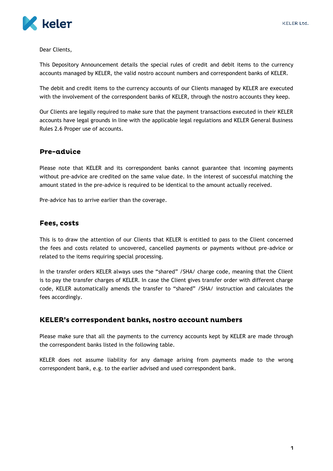

Dear Clients,

This Depository Announcement details the special rules of credit and debit items to the currency accounts managed by KELER, the valid nostro account numbers and correspondent banks of KELER.

The debit and credit items to the currency accounts of our Clients managed by KELER are executed with the involvement of the correspondent banks of KELER, through the nostro accounts they keep.

Our Clients are legally required to make sure that the payment transactions executed in their KELER accounts have legal grounds in line with the applicable legal regulations and KELER General Business Rules 2.6 Proper use of accounts.

## **Pre-advice**

Please note that KELER and its correspondent banks cannot guarantee that incoming payments without pre-advice are credited on the same value date. In the interest of successful matching the amount stated in the pre-advice is required to be identical to the amount actually received.

Pre-advice has to arrive earlier than the coverage.

### Fees, costs

This is to draw the attention of our Clients that KELER is entitled to pass to the Client concerned the fees and costs related to uncovered, cancelled payments or payments without pre-advice or related to the items requiring special processing.

In the transfer orders KELER always uses the "shared" /SHA/ charge code, meaning that the Client is to pay the transfer charges of KELER. In case the Client gives transfer order with different charge code, KELER automatically amends the transfer to "shared" /SHA/ instruction and calculates the fees accordingly.

#### KELER's correspondent banks, nostro account numbers

Please make sure that all the payments to the currency accounts kept by KELER are made through the correspondent banks listed in the following table.

KELER does not assume liability for any damage arising from payments made to the wrong correspondent bank, e.g. to the earlier advised and used correspondent bank.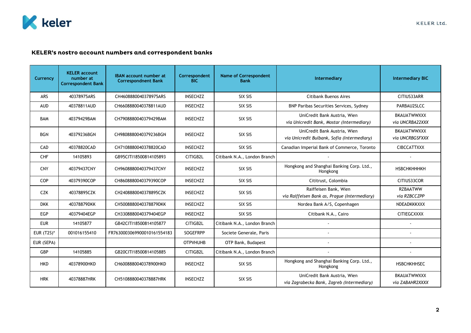

## KELER's nostro account numbers and correspondent banks

| Currency          | <b>KELER account</b><br>number at<br><b>Correspondent Bank</b> | <b>IBAN account number at</b><br><b>Correspondnent Bank</b> | Correspondent<br><b>BIC</b> | <b>Name of Correspondent</b><br><b>Bank</b> | Intermediary                                                                | <b>Intermediary BIC</b>               |
|-------------------|----------------------------------------------------------------|-------------------------------------------------------------|-----------------------------|---------------------------------------------|-----------------------------------------------------------------------------|---------------------------------------|
| ARS               | 40378975ARS                                                    | CH4608880040378975ARS                                       | <b>INSECHZZ</b>             | SIX SIS                                     | <b>Citibank Buenos Aires</b>                                                | CITIUS33ARR                           |
| <b>AUD</b>        | 40378811AUD                                                    | CH6608880040378811AUD                                       | <b>INSECHZZ</b>             | SIX SIS                                     | BNP Paribas Securities Services, Sydney                                     | PARBAU2SLCC                           |
| <b>BAM</b>        | 40379429BAM                                                    | CH7908880040379429BAM                                       | <b>INSECHZZ</b>             | SIX SIS                                     | UniCredit Bank Austria, Wien<br>via Unicredit Bank, Mostar (Intermediary)   | <b>BKAUATWWXXX</b><br>via UNCRBA22XXX |
| <b>BGN</b>        | 40379236BGN                                                    | CH9808880040379236BGN                                       | <b>INSECHZZ</b>             | SIX SIS                                     | UniCredit Bank Austria, Wien<br>via Unicredit Bulbank, Sofia (Intermediary) | <b>BKAUATWWXXX</b><br>via UNCRBGSFXXX |
| CAD               | 40378820CAD                                                    | CH7108880040378820CAD                                       | <b>INSECHZZ</b>             | SIX SIS                                     | Canadian Imperial Bank of Commerce, Toronto                                 | <b>CIBCCATTXXX</b>                    |
| <b>CHF</b>        | 14105893                                                       | GB95CITI18500814105893                                      | CITIGB2L                    | Citibank N.A., London Branch                |                                                                             |                                       |
| <b>CNY</b>        | 40379437CNY                                                    | CH9608880040379437CNY                                       | <b>INSECHZZ</b>             | SIX SIS                                     | Hongkong and Shanghai Banking Corp. Ltd.,<br>Hongkong                       | <b>НЅВСНКНННКН</b>                    |
| COP               | 40379390COP                                                    | CH8608880040379390COP                                       | <b>INSECHZZ</b>             | SIX SIS                                     | Cititrust, Colombia                                                         | CITIUS33COR                           |
| <b>CZK</b>        | 40378895CZK                                                    | CH2408880040378895CZK                                       | <b>INSECHZZ</b>             | SIX SIS                                     | Raiffeisen Bank, Wien<br>via Raiffeisen Bank as, Prague (Intermediary)      | <b>RZBAATWW</b><br>via RZBCCZPP       |
| <b>DKK</b>        | 40378879DKK                                                    | CH5008880040378879DKK                                       | <b>INSECHZZ</b>             | SIX SIS                                     | Nordea Bank A/S, Copenhagen                                                 | NDEADKKKXXX                           |
| <b>EGP</b>        | 40379404EGP                                                    | CH3308880040379404EGP                                       | <b>INSECHZZ</b>             | SIX SIS                                     | Citibank N.A., Cairo                                                        | <b>CITIEGCXXXX</b>                    |
| <b>EUR</b>        | 14105877                                                       | GB42CITI18500814105877                                      | CITIGB2L                    | Citibank N.A., London Branch                |                                                                             |                                       |
| <b>EUR (T2S)*</b> | 001016155410                                                   | FR7630003069900010161554183                                 | SOGEFRPP                    | Societe Generale, Paris                     |                                                                             |                                       |
| EUR (SEPA)        |                                                                |                                                             | <b>OTPVHUHB</b>             | OTP Bank, Budapest                          |                                                                             |                                       |
| GBP               | 14105885                                                       | GB20CITI18500814105885                                      | CITIGB2L                    | Citibank N.A., London Branch                |                                                                             |                                       |
| <b>HKD</b>        | 40378900HKD                                                    | CH6008880040378900HKD                                       | <b>INSECHZZ</b>             | SIX SIS                                     | Hongkong and Shanghai Banking Corp. Ltd.,<br>Hongkong                       | <b>HSBCHKHHSEC</b>                    |
| <b>HRK</b>        | 40378887HRK                                                    | CH5108880040378887HRK                                       | <b>INSECHZZ</b>             | SIX SIS                                     | UniCredit Bank Austria, Wien<br>via Zagrabecka Bank, Zagreb (Intermediary)  | <b>BKAUATWWXXX</b><br>via ZABAHR2XXXX |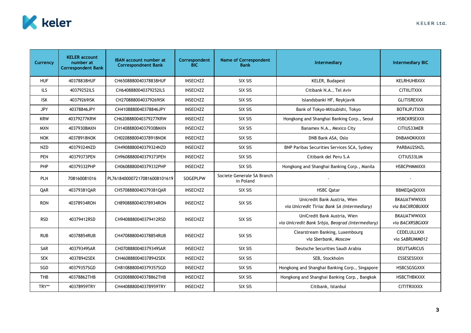

| Currency   | <b>KELER account</b><br>number at<br><b>Correspondent Bank</b> | <b>IBAN account number at</b><br><b>Correspondnent Bank</b> | Correspondent<br><b>BIC</b> | <b>Name of Correspondent</b><br><b>Bank</b> | Intermediary                                                                     | <b>Intermediary BIC</b>               |
|------------|----------------------------------------------------------------|-------------------------------------------------------------|-----------------------------|---------------------------------------------|----------------------------------------------------------------------------------|---------------------------------------|
| <b>HUF</b> | 40378838HUF                                                    | CH6508880040378838HUF                                       | INSECHZZ                    | SIX SIS                                     | <b>KELER, Budapest</b>                                                           | KELRHUHBXXX                           |
| <b>ILS</b> | 40379252ILS                                                    | CH6408880040379252ILS                                       | <b>INSECHZZ</b>             | SIX SIS                                     | Citibank N.A., Tel Aviv                                                          | <b>CITIILITXXX</b>                    |
| <b>ISK</b> | 40379269ISK                                                    | CH2708880040379269ISK                                       | <b>INSECHZZ</b>             | SIX SIS                                     | Islandsbanki HF, Reykjavik                                                       | <b>GLITISREXXX</b>                    |
| <b>JPY</b> | 40378846JPY                                                    | CH4108880040378846JPY                                       | <b>INSECHZZ</b>             | SIX SIS                                     | Bank of Tokyo-Mitsubishi, Tokyo                                                  | <b>BOTKJPJTXXX</b>                    |
| <b>KRW</b> | 40379277KRW                                                    | CH6208880040379277KRW                                       | <b>INSECHZZ</b>             | SIX SIS                                     | Hongkong and Shanghai Banking Corp., Seoul                                       | <b>HSBCKRSEXXX</b>                    |
| <b>MXN</b> | 40379308MXN                                                    | CH1408880040379308MXN                                       | <b>INSECHZZ</b>             | SIX SIS                                     | Banamex N.A., Mexico City                                                        | CITIUS33MER                           |
| <b>NOK</b> | 40378918NOK                                                    | CH0208880040378918NOK                                       | <b>INSECHZZ</b>             | SIX SIS                                     | DNB Bank ASA, Oslo                                                               | <b>DNBANOKKXXX</b>                    |
| <b>NZD</b> | 40379324NZD                                                    | CH4908880040379324NZD                                       | <b>INSECHZZ</b>             | SIX SIS                                     | BNP Paribas Securities Services SCA, Sydney                                      | PARBAU2SNZL                           |
| <b>PEN</b> | 40379373PEN                                                    | CH9608880040379373PEN                                       | INSECHZZ                    | SIX SIS                                     | Citibank del Peru S.A                                                            | CITIUS33LIM                           |
| PHP        | 40379332PHP                                                    | CH0608880040379332PHP                                       | <b>INSECHZZ</b>             | SIX SIS                                     | Hongkong and Shanghai Banking Corp., Manila                                      | <b>HSBCPHMMXXX</b>                    |
| <b>PLN</b> | 708160081016                                                   | PL76184000072170816008101619                                | SOGEPLPW                    | Societe Generale SA Branch<br>in Poland     |                                                                                  |                                       |
| QAR        | 40379381OAR                                                    | CH5708880040379381OAR                                       | <b>INSECHZZ</b>             | SIX SIS                                     | <b>HSBC Oatar</b>                                                                | BBMEQAQXXXX                           |
| <b>RON</b> | 40378934RON                                                    | CH8908880040378934RON                                       | <b>INSECHZZ</b>             | SIX SIS                                     | Unicredit Bank Austria, Wien<br>via Unicredit Tiriac Bank SA (Intermediary)      | <b>BKAUATWWXXX</b><br>via BACXROBUXXX |
| <b>RSD</b> | 40379412RSD                                                    | CH9408880040379412RSD                                       | <b>INSECHZZ</b>             | SIX SIS                                     | UniCredit Bank Austria, Wien<br>via Unicredit Bank Srbja, Beograd (Intermediary) | <b>BKAUATWWXXX</b><br>via BACXRSBGXXX |
| <b>RUB</b> | 40378854RUB                                                    | CH4708880040378854RUB                                       | <b>INSECHZZ</b>             | SIX SIS                                     | Clearstream Banking, Luxembourg<br>via Sberbank, Moscow                          | <b>CEDELULLXXX</b><br>via SABRUMM012  |
| SAR        | 40379349SAR                                                    | CH0708880040379349SAR                                       | <b>INSECHZZ</b>             | SIX SIS                                     | Deutsche Securities Saudi Arabia                                                 | <b>DEUTSARICUS</b>                    |
| <b>SEK</b> | 40378942SEK                                                    | CH4608880040378942SEK                                       | <b>INSECHZZ</b>             | SIX SIS                                     | SEB, Stockholm                                                                   | ESSESESSXXX                           |
| SGD        | 40379357SGD                                                    | CH8108880040379357SGD                                       | <b>INSECHZZ</b>             | SIX SIS                                     | Hongkong and Shanghai Banking Corp., Singapore                                   | HSBCSGSGXXX                           |
| <b>THB</b> | 40378862THB                                                    | CH2008880040378862THB                                       | <b>INSECHZZ</b>             | SIX SIS                                     | Hongkong and Shanghai Banking Corp., Bangkok                                     | <b>HSBCTHBKXXX</b>                    |
| TRY**      | 40378959TRY                                                    | CH4408880040378959TRY                                       | <b>INSECHZZ</b>             | SIX SIS                                     | Citibank, Istanbul                                                               | <b>CITITRIXXXX</b>                    |